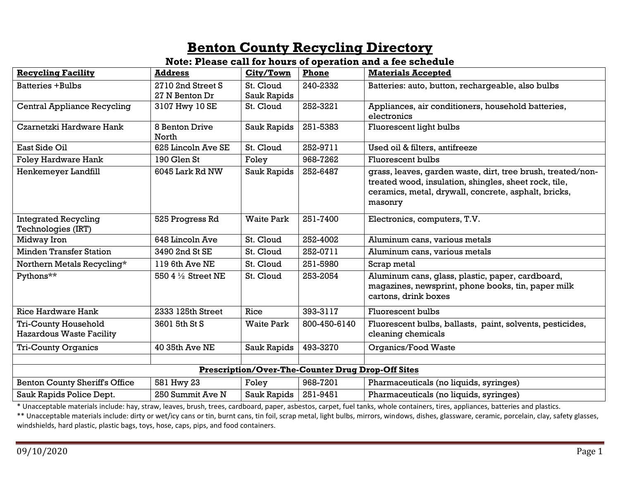## **Benton County Recycling Directory**

#### **Note: Please call for hours of operation and a fee schedule**

| <b>Recycling Facility</b>                                | <b>Address</b>          | City/Town         | Phone        | <b>Materials Accepted</b>                                                                                                                                                               |  |  |
|----------------------------------------------------------|-------------------------|-------------------|--------------|-----------------------------------------------------------------------------------------------------------------------------------------------------------------------------------------|--|--|
| <b>Batteries +Bulbs</b>                                  | 2710 2nd Street S       | St. Cloud         | 240-2332     | Batteries: auto, button, rechargeable, also bulbs                                                                                                                                       |  |  |
|                                                          | 27 N Benton Dr          | Sauk Rapids       |              |                                                                                                                                                                                         |  |  |
| <b>Central Appliance Recycling</b>                       | 3107 Hwy 10 SE          | St. Cloud         | 252-3221     | Appliances, air conditioners, household batteries,<br>electronics                                                                                                                       |  |  |
| Czarnetzki Hardware Hank                                 | 8 Benton Drive<br>North | Sauk Rapids       | 251-5383     | Fluorescent light bulbs                                                                                                                                                                 |  |  |
| East Side Oil                                            | 625 Lincoln Ave SE      | St. Cloud         | 252-9711     | Used oil & filters, antifreeze                                                                                                                                                          |  |  |
| <b>Foley Hardware Hank</b>                               | 190 Glen St             | Foley             | 968-7262     | Fluorescent bulbs                                                                                                                                                                       |  |  |
| Henkemeyer Landfill                                      | 6045 Lark Rd NW         | Sauk Rapids       | 252-6487     | grass, leaves, garden waste, dirt, tree brush, treated/non-<br>treated wood, insulation, shingles, sheet rock, tile,<br>ceramics, metal, drywall, concrete, asphalt, bricks,<br>masonry |  |  |
| <b>Integrated Recycling</b><br><b>Technologies (IRT)</b> | 525 Progress Rd         | <b>Waite Park</b> | 251-7400     | Electronics, computers, T.V.                                                                                                                                                            |  |  |
| Midway Iron                                              | 648 Lincoln Ave         | St. Cloud         | 252-4002     | Aluminum cans, various metals                                                                                                                                                           |  |  |
| <b>Minden Transfer Station</b>                           | 3490 2nd St SE          | St. Cloud         | 252-0711     | Aluminum cans, various metals                                                                                                                                                           |  |  |
| Northern Metals Recycling*                               | 119 6th Ave NE          | St. Cloud         | 251-5980     | Scrap metal                                                                                                                                                                             |  |  |
| Pythons**                                                | 550 4 1/2 Street NE     | St. Cloud         | 253-2054     | Aluminum cans, glass, plastic, paper, cardboard,<br>magazines, newsprint, phone books, tin, paper milk<br>cartons, drink boxes                                                          |  |  |
| <b>Rice Hardware Hank</b>                                | 2333 125th Street       | Rice              | 393-3117     | Fluorescent bulbs                                                                                                                                                                       |  |  |
| Tri-County Household<br><b>Hazardous Waste Facility</b>  | 3601 5th St S           | <b>Waite Park</b> | 800-450-6140 | Fluorescent bulbs, ballasts, paint, solvents, pesticides,<br>cleaning chemicals                                                                                                         |  |  |
| <b>Tri-County Organics</b>                               | 40 35th Ave NE          | Sauk Rapids       | 493-3270     | Organics/Food Waste                                                                                                                                                                     |  |  |
|                                                          |                         |                   |              |                                                                                                                                                                                         |  |  |
| <b>Prescription/Over-The-Counter Drug Drop-Off Sites</b> |                         |                   |              |                                                                                                                                                                                         |  |  |
| <b>Benton County Sheriff's Office</b>                    | 581 Hwy 23              | Foley             | 968-7201     | Pharmaceuticals (no liquids, syringes)                                                                                                                                                  |  |  |
| Sauk Rapids Police Dept.                                 | 250 Summit Ave N        | Sauk Rapids       | 251-9451     | Pharmaceuticals (no liquids, syringes)                                                                                                                                                  |  |  |

\* Unacceptable materials include: hay, straw, leaves, brush, trees, cardboard, paper, asbestos, carpet, fuel tanks, whole containers, tires, appliances, batteries and plastics.

\*\* Unacceptable materials include: dirty or wet/icy cans or tin, burnt cans, tin foil, scrap metal, light bulbs, mirrors, windows, dishes, glassware, ceramic, porcelain, clay, safety glasses, windshields, hard plastic, plastic bags, toys, hose, caps, pips, and food containers.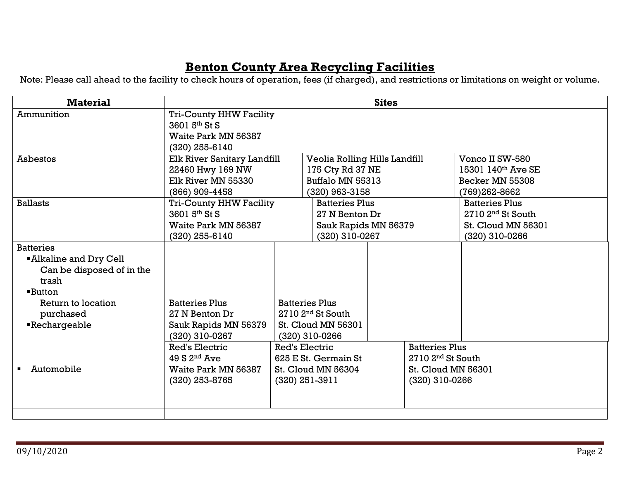## **Benton County Area Recycling Facilities**

Note: Please call ahead to the facility to check hours of operation, fees (if charged), and restrictions or limitations on weight or volume.

| <b>Material</b>              | <b>Sites</b>                                     |                           |                               |                       |                       |                                |  |
|------------------------------|--------------------------------------------------|---------------------------|-------------------------------|-----------------------|-----------------------|--------------------------------|--|
| Ammunition                   | <b>Tri-County HHW Facility</b>                   |                           |                               |                       |                       |                                |  |
|                              | 3601 5th St S                                    |                           |                               |                       |                       |                                |  |
|                              | <b>Waite Park MN 56387</b>                       |                           |                               |                       |                       |                                |  |
|                              | $(320)$ 255-6140                                 |                           |                               |                       |                       |                                |  |
| <b>Asbestos</b>              | Elk River Sanitary Landfill                      |                           | Veolia Rolling Hills Landfill |                       |                       | Vonco II SW-580                |  |
|                              | 22460 Hwy 169 NW                                 |                           | 175 Cty Rd 37 NE              |                       |                       | 15301 $140^{\text{th}}$ Ave SE |  |
|                              | Elk River MN 55330                               |                           | Buffalo MN 55313              |                       |                       | Becker MN 55308                |  |
|                              | (866) 909-4458                                   |                           | (320) 963-3158                |                       |                       | (769)262-8662                  |  |
| <b>Ballasts</b>              | <b>Tri-County HHW Facility</b>                   |                           | <b>Batteries Plus</b>         |                       |                       | <b>Batteries Plus</b>          |  |
|                              | 3601 5th St S                                    |                           | 27 N Benton Dr                |                       |                       | 2710 2 <sup>nd</sup> St South  |  |
|                              | <b>Waite Park MN 56387</b>                       |                           | Sauk Rapids MN 56379          |                       |                       | <b>St. Cloud MN 56301</b>      |  |
|                              | $(320)$ 255-6140                                 |                           | (320) 310-0267                |                       |                       | (320) 310-0266                 |  |
| <b>Batteries</b>             |                                                  |                           |                               |                       |                       |                                |  |
| <b>Alkaline and Dry Cell</b> |                                                  |                           |                               |                       |                       |                                |  |
| Can be disposed of in the    |                                                  |                           |                               |                       |                       |                                |  |
| trash                        |                                                  |                           |                               |                       |                       |                                |  |
| <b>Button</b>                |                                                  |                           |                               |                       |                       |                                |  |
| Return to location           | <b>Batteries Plus</b>                            | <b>Batteries Plus</b>     |                               |                       |                       |                                |  |
| purchased                    | 27 N Benton Dr                                   | $2710$ $2nd$ St South     |                               |                       |                       |                                |  |
| <b>Rechargeable</b>          | Sauk Rapids MN 56379                             | <b>St. Cloud MN 56301</b> |                               |                       |                       |                                |  |
|                              | (320) 310-0267<br>(320) 310-0266                 |                           |                               |                       |                       |                                |  |
|                              | Red's Electric<br>Red's Electric                 |                           |                               | <b>Batteries Plus</b> |                       |                                |  |
|                              | $49 S2^{nd}$ Ave                                 | 625 E St. Germain St      |                               |                       | $2710$ $2nd$ St South |                                |  |
| Automobile                   | <b>Waite Park MN 56387</b><br>St. Cloud MN 56304 |                           | St. Cloud MN 56301            |                       |                       |                                |  |
|                              | $(320)$ 251-3911<br>(320) 253-8765               |                           |                               |                       |                       | $(320)$ 310-0266               |  |
|                              |                                                  |                           |                               |                       |                       |                                |  |
|                              |                                                  |                           |                               |                       |                       |                                |  |
|                              |                                                  |                           |                               |                       |                       |                                |  |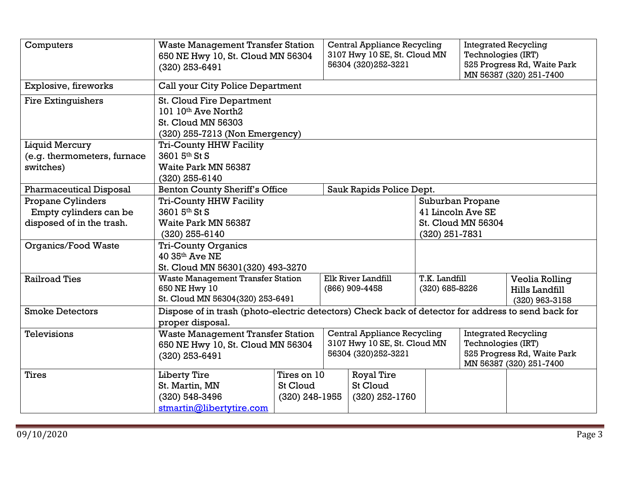| Computers                                | <b>Waste Management Transfer Station</b><br>650 NE Hwy 10, St. Cloud MN 56304<br>$(320)$ 253-6491                      |                                             |  | Central Appliance Recycling<br>3107 Hwy 10 SE, St. Cloud MN<br>56304 (320) 252-3221 |                   |                                                                                                             | <b>Integrated Recycling</b><br>Technologies (IRT)<br>525 Progress Rd, Waite Park<br>MN 56387 (320) 251-7400 |  |
|------------------------------------------|------------------------------------------------------------------------------------------------------------------------|---------------------------------------------|--|-------------------------------------------------------------------------------------|-------------------|-------------------------------------------------------------------------------------------------------------|-------------------------------------------------------------------------------------------------------------|--|
| Explosive, fireworks                     |                                                                                                                        | Call your City Police Department            |  |                                                                                     |                   |                                                                                                             |                                                                                                             |  |
| <b>Fire Extinguishers</b>                | <b>St. Cloud Fire Department</b><br>101 10th Ave North2<br><b>St. Cloud MN 56303</b><br>(320) 255-7213 (Non Emergency) |                                             |  |                                                                                     |                   |                                                                                                             |                                                                                                             |  |
| <b>Liquid Mercury</b>                    | <b>Tri-County HHW Facility</b>                                                                                         |                                             |  |                                                                                     |                   |                                                                                                             |                                                                                                             |  |
| (e.g. thermometers, furnace<br>switches) | 3601 5th St S<br>Waite Park MN 56387<br>(320) 255-6140                                                                 |                                             |  |                                                                                     |                   |                                                                                                             |                                                                                                             |  |
| <b>Pharmaceutical Disposal</b>           | <b>Benton County Sheriff's Office</b>                                                                                  |                                             |  | Sauk Rapids Police Dept.                                                            |                   |                                                                                                             |                                                                                                             |  |
| <b>Propane Cylinders</b>                 | <b>Tri-County HHW Facility</b>                                                                                         |                                             |  |                                                                                     |                   | Suburban Propane                                                                                            |                                                                                                             |  |
| Empty cylinders can be                   | 3601 5th St S                                                                                                          |                                             |  |                                                                                     | 41 Lincoln Ave SE |                                                                                                             |                                                                                                             |  |
| disposed of in the trash.                | Waite Park MN 56387<br>$(320)$ 255-6140                                                                                | St. Cloud MN 56304<br>$(320)$ 251-7831      |  |                                                                                     |                   |                                                                                                             |                                                                                                             |  |
| Organics/Food Waste                      | <b>Tri-County Organics</b><br>$40.35$ <sup>th</sup> Ave NE<br>St. Cloud MN 56301(320) 493-3270                         |                                             |  |                                                                                     |                   |                                                                                                             |                                                                                                             |  |
| <b>Railroad Ties</b>                     | <b>Waste Management Transfer Station</b><br>650 NE Hwy 10                                                              |                                             |  | Elk River Landfill<br>T.K. Landfill<br>(866) 909-4458<br>(320) 685-8226             |                   |                                                                                                             | Veolia Rolling<br>Hills Landfill                                                                            |  |
| <b>Smoke Detectors</b>                   |                                                                                                                        | St. Cloud MN 56304(320) 253-6491            |  |                                                                                     |                   |                                                                                                             | $(320)$ 963-3158                                                                                            |  |
|                                          | Dispose of in trash (photo-electric detectors) Check back of detector for address to send back for<br>proper disposal. |                                             |  |                                                                                     |                   |                                                                                                             |                                                                                                             |  |
| Televisions                              | <b>Waste Management Transfer Station</b><br>650 NE Hwy 10, St. Cloud MN 56304<br>(320) 253-6491                        |                                             |  | Central Appliance Recycling<br>3107 Hwy 10 SE, St. Cloud MN<br>56304 (320) 252-3221 |                   | <b>Integrated Recycling</b><br>Technologies (IRT)<br>525 Progress Rd, Waite Park<br>MN 56387 (320) 251-7400 |                                                                                                             |  |
| Tires                                    | <b>Liberty Tire</b><br>St. Martin, MN<br>(320) 548-3496<br>stmartin@libertytire.com                                    | Tires on 10<br>St Cloud<br>$(320)$ 248-1955 |  | <b>Royal Tire</b><br>St Cloud<br>$(320)$ 252-1760                                   |                   |                                                                                                             |                                                                                                             |  |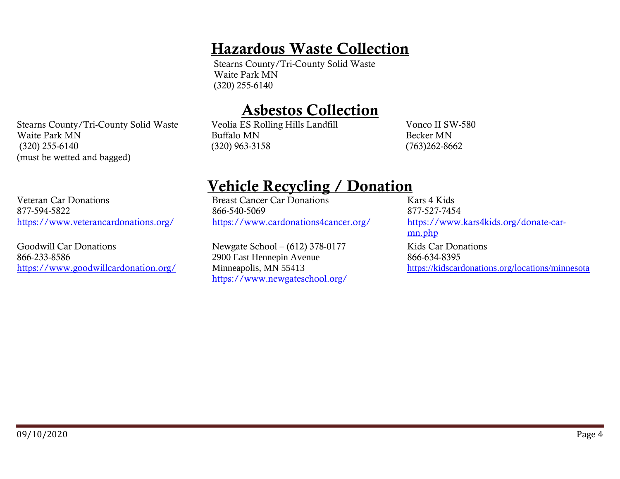## Hazardous Waste Collection

Stearns County/Tri-County Solid Waste Waite Park MN (320) 255-6140

# Asbestos Collection

Stearns County/Tri-County Solid Waste Veolia ES Rolling Hills Landfill Buffalo MN (320) 963-3158

Vonco II SW-580 Becker MN (763)262-8662

# Vehicle Recycling / Donation

Breast Cancer Car Donations 866-540-5069 <https://www.cardonations4cancer.org/>

Newgate School – (612) 378-0177 2900 East Hennepin Avenue Minneapolis, MN 55413 <https://www.newgateschool.org/>

Kars 4 Kids 877-527-7454 [https://www.kars4kids.org/donate-car](https://www.kars4kids.org/donate-car-mn.php)[mn.php](https://www.kars4kids.org/donate-car-mn.php) Kids Car Donations 866-634-8395 <https://kidscardonations.org/locations/minnesota>

Waite Park MN (320) 255-6140 (must be wetted and bagged)

Veteran Car Donations 877-594-5822 <https://www.veterancardonations.org/>

Goodwill Car Donations 866-233-8586 <https://www.goodwillcardonation.org/>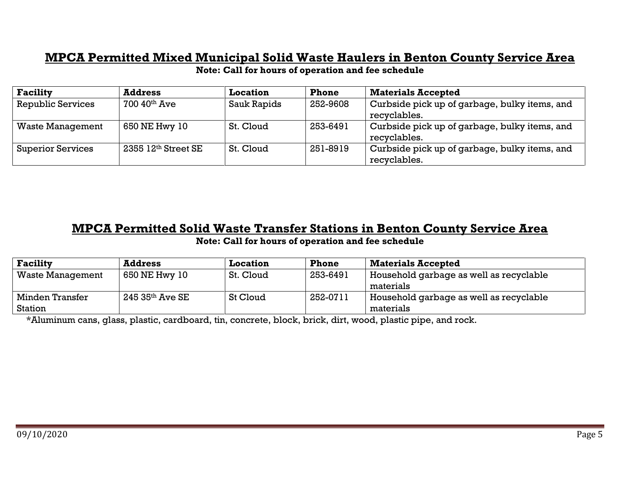### **MPCA Permitted Mixed Municipal Solid Waste Haulers in Benton County Service Area**

**Note: Call for hours of operation and fee schedule**

| <b>Facility</b>          | <b>Address</b>              | <b>Location</b> | <b>Phone</b> | <b>Materials Accepted</b>                     |
|--------------------------|-----------------------------|-----------------|--------------|-----------------------------------------------|
| <b>Republic Services</b> | $700\ 40$ <sup>th</sup> Ave | Sauk Rapids     | 252-9608     | Curbside pick up of garbage, bulky items, and |
|                          |                             |                 |              | recyclables.                                  |
| <b>Waste Management</b>  | 650 NE Hwy 10               | St. Cloud       | 253-6491     | Curbside pick up of garbage, bulky items, and |
|                          |                             |                 |              | recyclables.                                  |
| <b>Superior Services</b> | 2355 12th Street SE         | St. Cloud       | 251-8919     | Curbside pick up of garbage, bulky items, and |
|                          |                             |                 |              | recyclables.                                  |

### **MPCA Permitted Solid Waste Transfer Stations in Benton County Service Area Note: Call for hours of operation and fee schedule**

| <b>Facility</b>         | <b>Address</b>                 | <b>Location</b> | <b>Phone</b> | <b>Materials Accepted</b>               |
|-------------------------|--------------------------------|-----------------|--------------|-----------------------------------------|
| <b>Waste Management</b> | 650 NE Hwy 10                  | St. Cloud       | 253-6491     | Household garbage as well as recyclable |
|                         |                                |                 |              | materials                               |
| Minden Transfer         | $245\,35$ <sup>th</sup> Ave SE | St Cloud        | 252-0711     | Household garbage as well as recyclable |
| Station                 |                                |                 |              | materials                               |

\*Aluminum cans, glass, plastic, cardboard, tin, concrete, block, brick, dirt, wood, plastic pipe, and rock.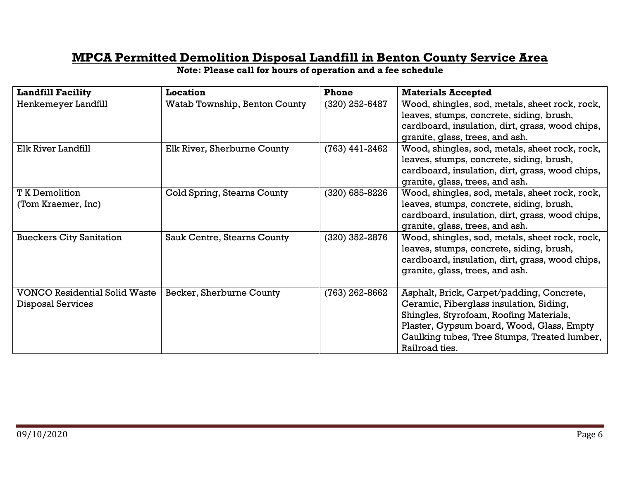## **MPCA Permitted Demolition Disposal Landfill in Benton County Service Area**

| <b>Landfill Facility</b>                                         | <b>Location</b>               | Phone            | <b>Materials Accepted</b>                                                                                                                                                                                                                      |
|------------------------------------------------------------------|-------------------------------|------------------|------------------------------------------------------------------------------------------------------------------------------------------------------------------------------------------------------------------------------------------------|
| Henkemeyer Landfill                                              | Watab Township, Benton County | $(320)$ 252-6487 | Wood, shingles, sod, metals, sheet rock, rock,<br>leaves, stumps, concrete, siding, brush,<br>cardboard, insulation, dirt, grass, wood chips,<br>granite, glass, trees, and ash.                                                               |
| Elk River Landfill                                               | Elk River, Sherburne County   | $(763)$ 441-2462 | Wood, shingles, sod, metals, sheet rock, rock,<br>leaves, stumps, concrete, siding, brush,<br>cardboard, insulation, dirt, grass, wood chips,<br>granite, glass, trees, and ash.                                                               |
| <b>T K Demolition</b><br>(Tom Kraemer, Inc)                      | Cold Spring, Stearns County   | $(320)$ 685-8226 | Wood, shingles, sod, metals, sheet rock, rock,<br>leaves, stumps, concrete, siding, brush,<br>cardboard, insulation, dirt, grass, wood chips,<br>granite, glass, trees, and ash.                                                               |
| <b>Bueckers City Sanitation</b>                                  | Sauk Centre, Stearns County   | (320) 352-2876   | Wood, shingles, sod, metals, sheet rock, rock,<br>leaves, stumps, concrete, siding, brush,<br>cardboard, insulation, dirt, grass, wood chips,<br>granite, glass, trees, and ash.                                                               |
| <b>VONCO Residential Solid Waste</b><br><b>Disposal Services</b> | Becker, Sherburne County      | $(763)$ 262-8662 | Asphalt, Brick, Carpet/padding, Concrete,<br>Ceramic, Fiberglass insulation, Siding,<br>Shingles, Styrofoam, Roofing Materials,<br>Plaster, Gypsum board, Wood, Glass, Empty<br>Caulking tubes, Tree Stumps, Treated lumber,<br>Railroad ties. |

**Note: Please call for hours of operation and a fee schedule**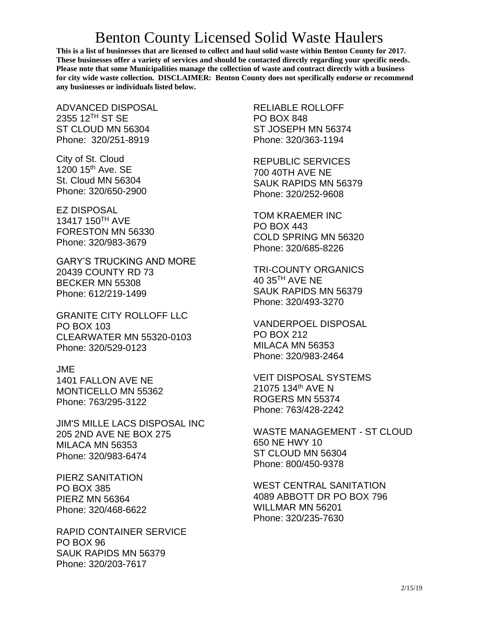## Benton County Licensed Solid Waste Haulers

**This is a list of businesses that are licensed to collect and haul solid waste within Benton County for 2017. These businesses offer a variety of services and should be contacted directly regarding your specific needs. Please note that some Municipalities manage the collection of waste and contract directly with a business for city wide waste collection. DISCLAIMER: Benton County does not specifically endorse or recommend any businesses or individuals listed below.**

ADVANCED DISPOSAL 2355 12TH ST SE ST CLOUD MN 56304 Phone: 320/251-8919

City of St. Cloud 1200 15<sup>th</sup> Ave. SE St. Cloud MN 56304 Phone: 320/650-2900

EZ DISPOSAL 13417 150TH AVE FORESTON MN 56330 Phone: 320/983-3679

GARY'S TRUCKING AND MORE 20439 COUNTY RD 73 BECKER MN 55308 Phone: 612/219-1499

GRANITE CITY ROLLOFF LLC PO BOX 103 CLEARWATER MN 55320-0103 Phone: 320/529-0123

#### JME

1401 FALLON AVE NE MONTICELLO MN 55362 Phone: 763/295-3122

JIM'S MILLE LACS DISPOSAL INC 205 2ND AVE NE BOX 275 MILACA MN 56353 Phone: 320/983-6474

PIERZ SANITATION PO BOX 385 PIERZ MN 56364 Phone: 320/468-6622

RAPID CONTAINER SERVICE PO BOX 96 SAUK RAPIDS MN 56379 Phone: 320/203-7617

RELIABLE ROLLOFF PO BOX 848 ST JOSEPH MN 56374 Phone: 320/363-1194

REPUBLIC SERVICES 700 40TH AVE NE SAUK RAPIDS MN 56379 Phone: 320/252-9608

TOM KRAEMER INC PO BOX 443 COLD SPRING MN 56320 Phone: 320/685-8226

TRI-COUNTY ORGANICS 40 35<sup>TH</sup> AVE NE SAUK RAPIDS MN 56379 Phone: 320/493-3270

VANDERPOEL DISPOSAL PO BOX 212 MILACA MN 56353 Phone: 320/983-2464

VEIT DISPOSAL SYSTEMS 21075 134th AVE N ROGERS MN 55374 Phone: 763/428-2242

WASTE MANAGEMENT - ST CLOUD 650 NE HWY 10 ST CLOUD MN 56304 Phone: 800/450-9378

WEST CENTRAL SANITATION 4089 ABBOTT DR PO BOX 796 WILLMAR MN 56201 Phone: 320/235-7630